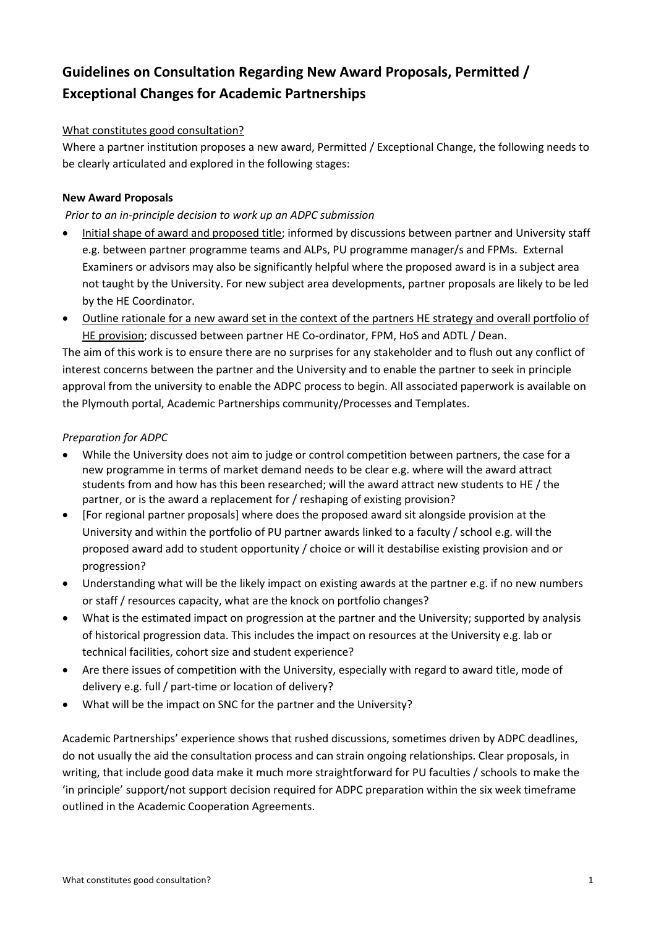# **Guidelines on Consultation Regarding New Award Proposals, Permitted / Exceptional Changes for Academic Partnerships**

# What constitutes good consultation?

Where a partner institution proposes a new award, Permitted / Exceptional Change, the following needs to be clearly articulated and explored in the following stages:

# **New Award Proposals**

# *Prior to an in-principle decision to work up an ADPC submission*

- Initial shape of award and proposed title; informed by discussions between partner and University staff e.g. between partner programme teams and ALPs, PU programme manager/s and FPMs. External Examiners or advisors may also be significantly helpful where the proposed award is in a subject area not taught by the University. For new subject area developments, partner proposals are likely to be led by the HE Coordinator.
- Outline rationale for a new award set in the context of the partners HE strategy and overall portfolio of HE provision; discussed between partner HE Co-ordinator, FPM, HoS and ADTL / Dean.

The aim of this work is to ensure there are no surprises for any stakeholder and to flush out any conflict of interest concerns between the partner and the University and to enable the partner to seek in principle approval from the university to enable the ADPC process to begin. All associated paperwork is available on the Plymouth portal, Academic Partnerships community/Processes and Templates.

### *Preparation for ADPC*

- While the University does not aim to judge or control competition between partners, the case for a new programme in terms of market demand needs to be clear e.g. where will the award attract students from and how has this been researched; will the award attract new students to HE / the partner, or is the award a replacement for / reshaping of existing provision?
- [For regional partner proposals] where does the proposed award sit alongside provision at the University and within the portfolio of PU partner awards linked to a faculty / school e.g. will the proposed award add to student opportunity / choice or will it destabilise existing provision and or progression?
- Understanding what will be the likely impact on existing awards at the partner e.g. if no new numbers or staff / resources capacity, what are the knock on portfolio changes?
- What is the estimated impact on progression at the partner and the University; supported by analysis of historical progression data. This includes the impact on resources at the University e.g. lab or technical facilities, cohort size and student experience?
- Are there issues of competition with the University, especially with regard to award title, mode of delivery e.g. full / part-time or location of delivery?
- What will be the impact on SNC for the partner and the University?

Academic Partnerships' experience shows that rushed discussions, sometimes driven by ADPC deadlines, do not usually the aid the consultation process and can strain ongoing relationships. Clear proposals, in writing, that include good data make it much more straightforward for PU faculties / schools to make the 'in principle' support/not support decision required for ADPC preparation within the six week timeframe outlined in the Academic Cooperation Agreements.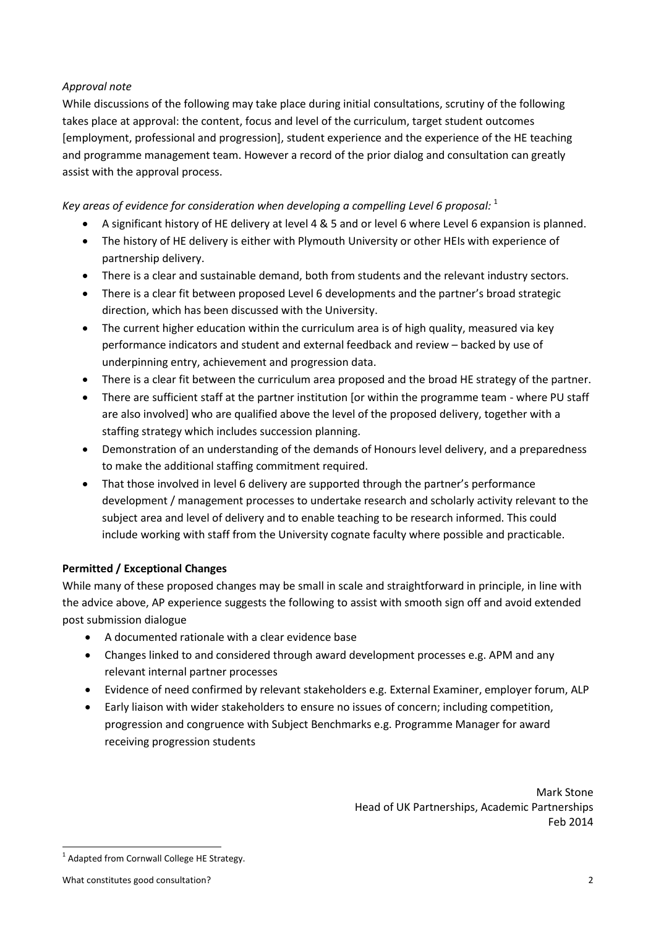# *Approval note*

While discussions of the following may take place during initial consultations, scrutiny of the following takes place at approval: the content, focus and level of the curriculum, target student outcomes [employment, professional and progression], student experience and the experience of the HE teaching and programme management team. However a record of the prior dialog and consultation can greatly assist with the approval process.

Key areas of evidence for consideration when developing a compelling Level 6 proposal: <sup>1</sup>

- A significant history of HE delivery at level 4 & 5 and or level 6 where Level 6 expansion is planned.
- The history of HE delivery is either with Plymouth University or other HEIs with experience of partnership delivery.
- There is a clear and sustainable demand, both from students and the relevant industry sectors.
- There is a clear fit between proposed Level 6 developments and the partner's broad strategic direction, which has been discussed with the University.
- The current higher education within the curriculum area is of high quality, measured via key performance indicators and student and external feedback and review – backed by use of underpinning entry, achievement and progression data.
- There is a clear fit between the curriculum area proposed and the broad HE strategy of the partner.
- There are sufficient staff at the partner institution [or within the programme team where PU staff are also involved] who are qualified above the level of the proposed delivery, together with a staffing strategy which includes succession planning.
- Demonstration of an understanding of the demands of Honours level delivery, and a preparedness to make the additional staffing commitment required.
- That those involved in level 6 delivery are supported through the partner's performance development / management processes to undertake research and scholarly activity relevant to the subject area and level of delivery and to enable teaching to be research informed. This could include working with staff from the University cognate faculty where possible and practicable.

### **Permitted / Exceptional Changes**

While many of these proposed changes may be small in scale and straightforward in principle, in line with the advice above, AP experience suggests the following to assist with smooth sign off and avoid extended post submission dialogue

- A documented rationale with a clear evidence base
- Changes linked to and considered through award development processes e.g. APM and any relevant internal partner processes
- Evidence of need confirmed by relevant stakeholders e.g. External Examiner, employer forum, ALP
- Early liaison with wider stakeholders to ensure no issues of concern; including competition, progression and congruence with Subject Benchmarks e.g. Programme Manager for award receiving progression students

Mark Stone Head of UK Partnerships, Academic Partnerships Feb 2014

<sup>&</sup>lt;u>.</u> <sup>1</sup> Adapted from Cornwall College HE Strategy.